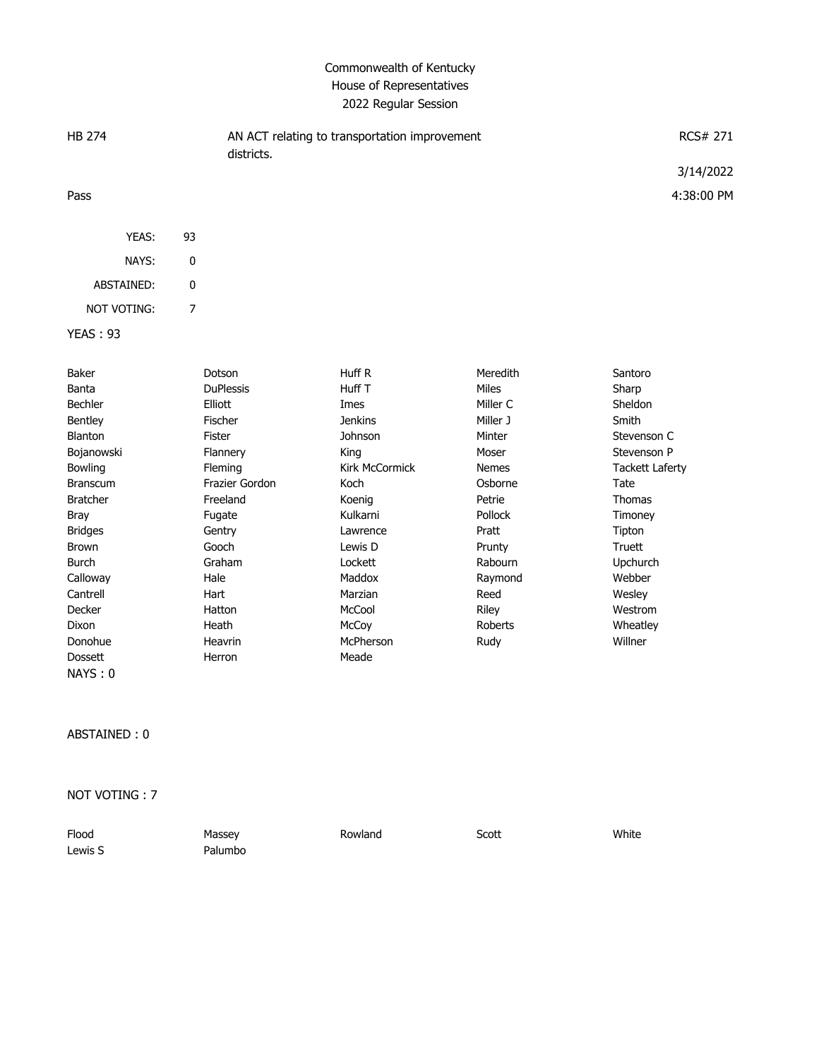## Commonwealth of Kentucky House of Representatives 2022 Regular Session

| <b>HB 274</b>   |    | AN ACT relating to transportation improvement<br>districts. | RCS# 271   |
|-----------------|----|-------------------------------------------------------------|------------|
|                 |    |                                                             | 3/14/2022  |
| Pass            |    |                                                             | 4:38:00 PM |
|                 |    |                                                             |            |
| YEAS:           | 93 |                                                             |            |
| NAYS:           | 0  |                                                             |            |
| ABSTAINED:      | 0  |                                                             |            |
| NOT VOTING:     | 7  |                                                             |            |
| <b>YEAS: 93</b> |    |                                                             |            |

| Baker           | Dotson           | Huff R                | Meredith       | Santoro                |
|-----------------|------------------|-----------------------|----------------|------------------------|
| Banta           | <b>DuPlessis</b> | Huff T                | <b>Miles</b>   | Sharp                  |
| <b>Bechler</b>  | Elliott          | Imes                  | Miller C       | <b>Sheldon</b>         |
| <b>Bentley</b>  | Fischer          | <b>Jenkins</b>        | Miller J       | Smith                  |
| Blanton         | Fister           | Johnson               | Minter         | Stevenson C            |
| Bojanowski      | Flannery         | King                  | Moser          | Stevenson P            |
| <b>Bowling</b>  | Fleming          | <b>Kirk McCormick</b> | <b>Nemes</b>   | <b>Tackett Laferty</b> |
| <b>Branscum</b> | Frazier Gordon   | Koch                  | Osborne        | Tate                   |
| <b>Bratcher</b> | Freeland         | Koenig                | Petrie         | Thomas                 |
| Bray            | Fugate           | Kulkarni              | <b>Pollock</b> | Timoney                |
| <b>Bridges</b>  | Gentry           | Lawrence              | Pratt          | Tipton                 |
| Brown           | Gooch            | Lewis D               | Prunty         | Truett                 |
| Burch           | Graham           | Lockett               | Rabourn        | <b>Upchurch</b>        |
| Calloway        | Hale             | Maddox                | Raymond        | Webber                 |
| Cantrell        | Hart             | Marzian               | Reed           | Wesley                 |
| Decker          | Hatton           | McCool                | Riley          | Westrom                |
| Dixon           | Heath            | McCoy                 | Roberts        | Wheatley               |
| Donohue         | Heavrin          | McPherson             | Rudy           | Willner                |
| <b>Dossett</b>  | Herron           | Meade                 |                |                        |
| NAYS:0          |                  |                       |                |                        |

ABSTAINED : 0

NOT VOTING : 7

| Flood   | Massey  | Rowland | Scott | White |
|---------|---------|---------|-------|-------|
| Lewis S | Palumbo |         |       |       |